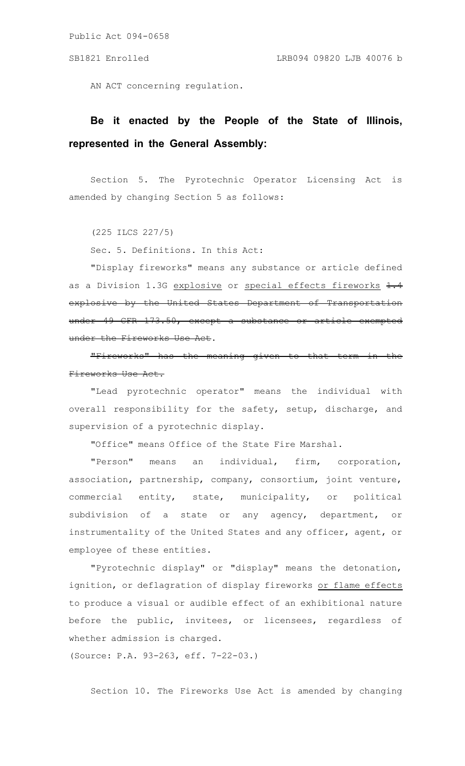AN ACT concerning regulation.

## **Be it enacted by the People of the State of Illinois, represented in the General Assembly:**

Section 5. The Pyrotechnic Operator Licensing Act is amended by changing Section 5 as follows:

(225 ILCS 227/5)

Sec. 5. Definitions. In this Act:

"Display fireworks" means any substance or article defined as a Division 1.3G explosive or special effects fireworks 1.4 explosive by the United States Department of Transportation under 49 CFR 173.50, except a substance or article exempted under the Fireworks Use Act.

"Fireworks" has the meaning given to that term in the Fireworks Use Act.

"Lead pyrotechnic operator" means the individual with overall responsibility for the safety, setup, discharge, and supervision of a pyrotechnic display.

"Office" means Office of the State Fire Marshal.

"Person" means an individual, firm, corporation, association, partnership, company, consortium, joint venture, commercial entity, state, municipality, or political subdivision of a state or any agency, department, or instrumentality of the United States and any officer, agent, or employee of these entities.

"Pyrotechnic display" or "display" means the detonation, ignition, or deflagration of display fireworks or flame effects to produce a visual or audible effect of an exhibitional nature before the public, invitees, or licensees, regardless of whether admission is charged.

(Source: P.A. 93-263, eff. 7-22-03.)

Section 10. The Fireworks Use Act is amended by changing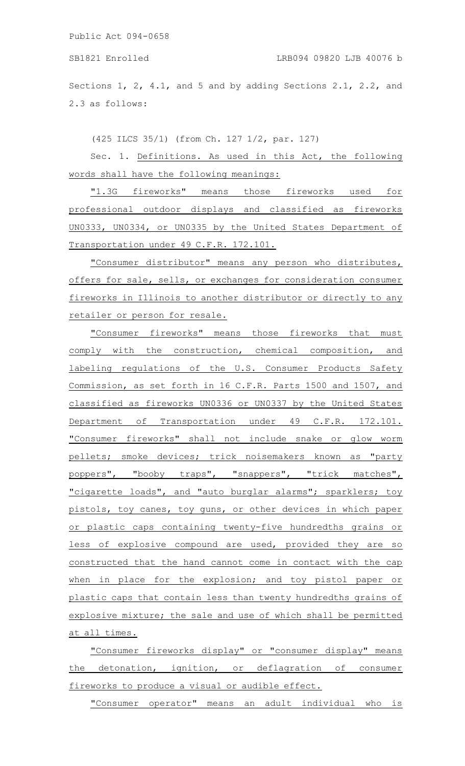SB1821 Enrolled LRB094 09820 LJB 40076 b

Sections 1, 2, 4.1, and 5 and by adding Sections 2.1, 2.2, and 2.3 as follows:

(425 ILCS 35/1) (from Ch. 127 1/2, par. 127)

Sec. 1. Definitions. As used in this Act, the following words shall have the following meanings:

"1.3G fireworks" means those fireworks used for professional outdoor displays and classified as fireworks UN0333, UN0334, or UN0335 by the United States Department of Transportation under 49 C.F.R. 172.101.

"Consumer distributor" means any person who distributes, offers for sale, sells, or exchanges for consideration consumer fireworks in Illinois to another distributor or directly to any retailer or person for resale.

"Consumer fireworks" means those fireworks that must comply with the construction, chemical composition, and labeling regulations of the U.S. Consumer Products Safety Commission, as set forth in 16 C.F.R. Parts 1500 and 1507, and classified as fireworks UN0336 or UN0337 by the United States Department of Transportation under 49 C.F.R. 172.101. "Consumer fireworks" shall not include snake or glow worm pellets; smoke devices; trick noisemakers known as "party poppers", "booby traps", "snappers", "trick matches", "cigarette loads", and "auto burglar alarms"; sparklers; toy pistols, toy canes, toy guns, or other devices in which paper or plastic caps containing twenty-five hundredths grains or less of explosive compound are used, provided they are so constructed that the hand cannot come in contact with the cap when in place for the explosion; and toy pistol paper or plastic caps that contain less than twenty hundredths grains of explosive mixture; the sale and use of which shall be permitted at all times.

"Consumer fireworks display" or "consumer display" means the detonation, ignition, or deflagration of consumer fireworks to produce a visual or audible effect.

"Consumer operator" means an adult individual who is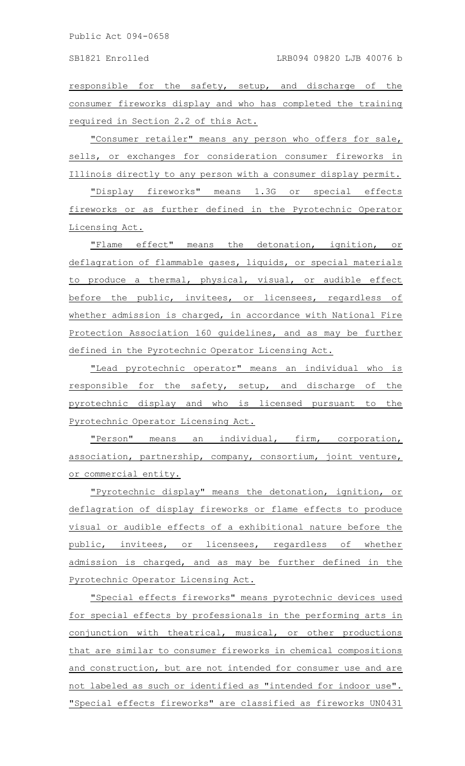responsible for the safety, setup, and discharge of the consumer fireworks display and who has completed the training required in Section 2.2 of this Act.

"Consumer retailer" means any person who offers for sale, sells, or exchanges for consideration consumer fireworks in Illinois directly to any person with a consumer display permit.

"Display fireworks" means 1.3G or special effects fireworks or as further defined in the Pyrotechnic Operator Licensing Act.

"Flame effect" means the detonation, ignition, or deflagration of flammable gases, liquids, or special materials to produce a thermal, physical, visual, or audible effect before the public, invitees, or licensees, regardless of whether admission is charged, in accordance with National Fire Protection Association 160 guidelines, and as may be further defined in the Pyrotechnic Operator Licensing Act.

"Lead pyrotechnic operator" means an individual who is responsible for the safety, setup, and discharge of the pyrotechnic display and who is licensed pursuant to the Pyrotechnic Operator Licensing Act.

"Person" means an individual, firm, corporation, association, partnership, company, consortium, joint venture, or commercial entity.

"Pyrotechnic display" means the detonation, ignition, or deflagration of display fireworks or flame effects to produce visual or audible effects of a exhibitional nature before the public, invitees, or licensees, regardless of whether admission is charged, and as may be further defined in the Pyrotechnic Operator Licensing Act.

"Special effects fireworks" means pyrotechnic devices used for special effects by professionals in the performing arts in conjunction with theatrical, musical, or other productions that are similar to consumer fireworks in chemical compositions and construction, but are not intended for consumer use and are not labeled as such or identified as "intended for indoor use". "Special effects fireworks" are classified as fireworks UN0431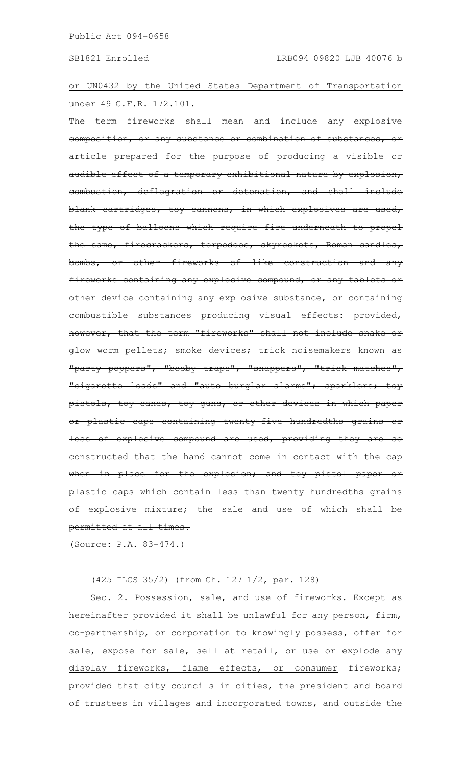or UN0432 by the United States Department of Transportation under 49 C.F.R. 172.101.

-term fireworks shall mean and include any explosive composition, or any substance or combination of substances, itticle prepared for the purpose of producing a visible audible effect of a temporary exhibitional nature by explosion, combustion, deflagration or detonation, and shall include blank cartridges, toy cannons, in which explosives are used, the type of balloons which require fire underneath to propel the same, firecrackers, torpedoes, skyrockets, Roman candles, or other fireworks of like construction and any fireworks containing any explosive compound, or any tablets or other device containing any explosive substance,  $\overline{\phantom{a}}$ combustible substances producing visual effects: provided, however, that the term "fireworks" shall not include snake or glow worm pellets; smoke devices; trick noisemakers known as "party poppers", "booby traps", "snappers", "trick matches", "cigarette loads" and "auto burglar alarms"; sparklers; toy pistols, toy canes, toy guns, or other devices in which paper plastic caps containing twenty-five hundredths grains less of explosive compound are used, providing they are so constructed that the hand cannot come in contact with the cap when in place for the explosion; and toy pistol paper plastic caps which contain less than twenty hundredths grains of explosive mixture; the sale and use of which shall be permitted at all times.

(Source: P.A. 83-474.)

(425 ILCS 35/2) (from Ch. 127 1/2, par. 128)

Sec. 2. Possession, sale, and use of fireworks. Except as hereinafter provided it shall be unlawful for any person, firm, co-partnership, or corporation to knowingly possess, offer for sale, expose for sale, sell at retail, or use or explode any display fireworks, flame effects, or consumer fireworks; provided that city councils in cities, the president and board of trustees in villages and incorporated towns, and outside the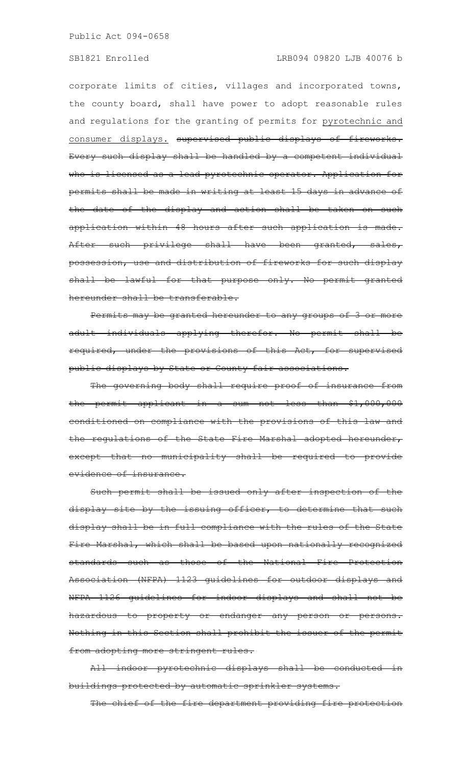## SB1821 Enrolled LRB094 09820 LJB 40076 b

corporate limits of cities, villages and incorporated towns, the county board, shall have power to adopt reasonable rules and regulations for the granting of permits for pyrotechnic and consumer displays. supervised public displays of fireworks. Every such display shall be handled by a competent individual who is licensed as a lead pyrotechnic operator. Application for permits shall be made in writing at least 15 days in advance of the date of the display and action shall be taken on such application within 48 hours after such application is made. After such privilege shall have been granted, sales, possession, use and distribution of fireworks for such display shall be lawful for that purpose only. No permit granted reunder shall be transferable.

Permits may be granted hereunder to any groups of 3 or more adult individuals applying therefor. No permit shall be required, under the provisions of this Act, for supervised public displays by State or County fair associations.

The governing body shall require proof of insurance from the permit applicant in a sum not less than \$1,000,000 conditioned on compliance with the provisions of this law and the regulations of the State Fire Marshal adopted hereunder, except that no municipality shall be required to provide evidence of insurance.

Such permit shall be issued only after inspection of the display site by the issuing officer, to determine that such display shall be in full compliance with the rules of the State Fire Marshal, which shall be based upon nationally recognized standards such as those of the National Fire Protection Association (NFPA) 1123 guidelines for outdoor displays and NFPA 1126 guidelines for indoor displays and shall not be hazardous to property or endanger any person or persons. Nothing in this Section shall prohibit the issuer of the permit from adopting more stringent rules.

All indoor pyrotechnic displays shall be conducted in ildings protected by automatic sprinkler systems.

The chief of the fire department providing fire protection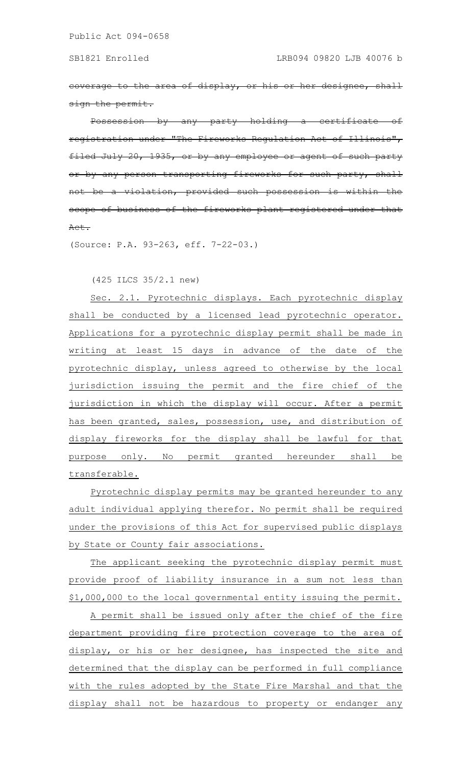coverage to the area of display, or his or her designee, shall ign the permit.

Possession by any party holding a certificate stration under "The Fireworks Regulation Act of Illinois", Filed July 20, 1935, or by any employee or agent of such by any person transporting fireworks for such party, hot a violation, provided such possession is within scope of business of the fireworks plant registered under that Act.

(Source: P.A. 93-263, eff. 7-22-03.)

(425 ILCS 35/2.1 new)

Sec. 2.1. Pyrotechnic displays. Each pyrotechnic display shall be conducted by a licensed lead pyrotechnic operator. Applications for a pyrotechnic display permit shall be made in writing at least 15 days in advance of the date of the pyrotechnic display, unless agreed to otherwise by the local jurisdiction issuing the permit and the fire chief of the jurisdiction in which the display will occur. After a permit has been granted, sales, possession, use, and distribution of display fireworks for the display shall be lawful for that purpose only. No permit granted hereunder shall be transferable.

Pyrotechnic display permits may be granted hereunder to any adult individual applying therefor. No permit shall be required under the provisions of this Act for supervised public displays by State or County fair associations.

The applicant seeking the pyrotechnic display permit must provide proof of liability insurance in a sum not less than \$1,000,000 to the local governmental entity issuing the permit.

A permit shall be issued only after the chief of the fire department providing fire protection coverage to the area of display, or his or her designee, has inspected the site and determined that the display can be performed in full compliance with the rules adopted by the State Fire Marshal and that the display shall not be hazardous to property or endanger any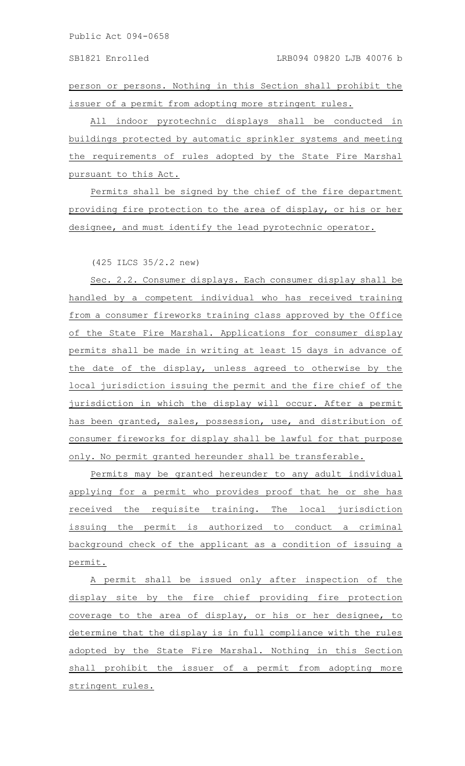person or persons. Nothing in this Section shall prohibit the issuer of a permit from adopting more stringent rules.

All indoor pyrotechnic displays shall be conducted in buildings protected by automatic sprinkler systems and meeting the requirements of rules adopted by the State Fire Marshal pursuant to this Act.

Permits shall be signed by the chief of the fire department providing fire protection to the area of display, or his or her designee, and must identify the lead pyrotechnic operator.

(425 ILCS 35/2.2 new)

Sec. 2.2. Consumer displays. Each consumer display shall be handled by a competent individual who has received training from a consumer fireworks training class approved by the Office of the State Fire Marshal. Applications for consumer display permits shall be made in writing at least 15 days in advance of the date of the display, unless agreed to otherwise by the local jurisdiction issuing the permit and the fire chief of the jurisdiction in which the display will occur. After a permit has been granted, sales, possession, use, and distribution of consumer fireworks for display shall be lawful for that purpose only. No permit granted hereunder shall be transferable.

Permits may be granted hereunder to any adult individual applying for a permit who provides proof that he or she has received the requisite training. The local jurisdiction issuing the permit is authorized to conduct a criminal background check of the applicant as a condition of issuing a permit.

A permit shall be issued only after inspection of the display site by the fire chief providing fire protection coverage to the area of display, or his or her designee, to determine that the display is in full compliance with the rules adopted by the State Fire Marshal. Nothing in this Section shall prohibit the issuer of a permit from adopting more stringent rules.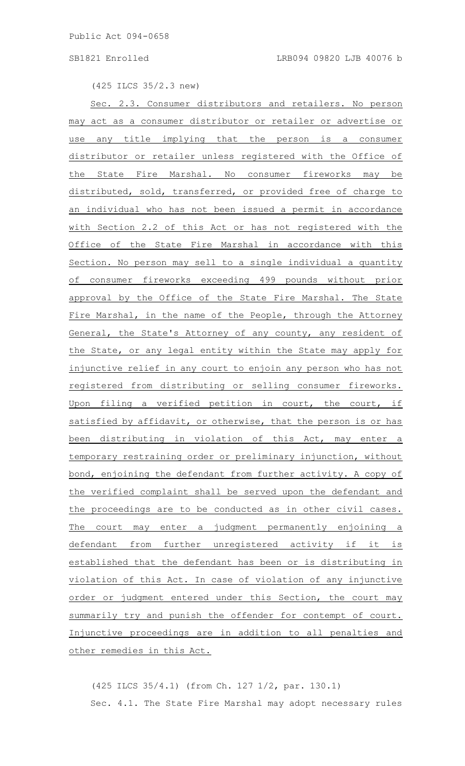(425 ILCS 35/2.3 new)

Sec. 2.3. Consumer distributors and retailers. No person may act as a consumer distributor or retailer or advertise or use any title implying that the person is a consumer distributor or retailer unless registered with the Office of the State Fire Marshal. No consumer fireworks may be distributed, sold, transferred, or provided free of charge to an individual who has not been issued a permit in accordance with Section 2.2 of this Act or has not registered with the Office of the State Fire Marshal in accordance with this Section. No person may sell to a single individual a quantity of consumer fireworks exceeding 499 pounds without prior approval by the Office of the State Fire Marshal. The State Fire Marshal, in the name of the People, through the Attorney General, the State's Attorney of any county, any resident of the State, or any legal entity within the State may apply for injunctive relief in any court to enjoin any person who has not registered from distributing or selling consumer fireworks. Upon filing a verified petition in court, the court, if satisfied by affidavit, or otherwise, that the person is or has been distributing in violation of this Act, may enter a temporary restraining order or preliminary injunction, without bond, enjoining the defendant from further activity. A copy of the verified complaint shall be served upon the defendant and the proceedings are to be conducted as in other civil cases. The court may enter a judgment permanently enjoining a defendant from further unregistered activity if it is established that the defendant has been or is distributing in violation of this Act. In case of violation of any injunctive order or judgment entered under this Section, the court may summarily try and punish the offender for contempt of court. Injunctive proceedings are in addition to all penalties and other remedies in this Act.

(425 ILCS 35/4.1) (from Ch. 127 1/2, par. 130.1) Sec. 4.1. The State Fire Marshal may adopt necessary rules